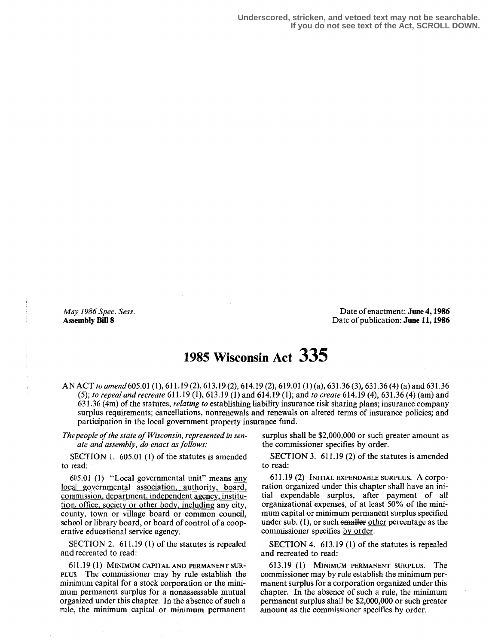May 1986 Spec. Sess. Assembly Bill 8

Date of enactment: June 4,1986 Date of publication: June 11, 1986

## 195 Wisconsin Act 335

AN ACT to amend 605.01 (1), 611 .19 (2), 613.19 (2), 614.19 (2), 619.01 (1) (a), 631 .36 (3), 63136 (4) (a) and 631 .36 (5); to repeal and recreate 611 .19 (1), 613.19 (1) and 614.19 (1); and to create 614.19 (4), 631 .36 (4) (am) and 631 .36 (4m) of the statutes, relating to establishing liability insurance risk sharing plans; insurance company surplus requirements; cancellations, nonrenewals and renewals on altered terms of insurance policies; and participation in the local government property insurance fund.

ate and assembly, do enact as follows:

SECTION 1.  $605.01$  (1) of the statutes is amended to read:

605.01 (1) "Local governmental unit" means aany local governmental association, authority, board, commission, department, independent agency, institution, office, society or other body, including any city, county, town or village board or common council, school or library board, or board of control of a cooperative educational service agency.

SECTION 2. 611.19 (1) of the statutes is repealed SECTION 4. 613.19 (1) of the statutes is repealed and recreated to read:

611.19 (1) MINIMUM CAPITAL AND PERMANENT SUR-PLUS. The commissioner may by rule establish the minimum capital for a stock corporation or the minimum permanent surplus for a nonassessable mutual organized under this chapter. In the absence of such a rule, the minimum capital or minimum permanent

The people of the state of Wisconsin, represented in sen-<br>ate and assembly, do enact as follows:<br>the commissioner specifies by order.

SECTION 3. 611.19 (2) of the statutes is amended to read:

<sup>611</sup> .19 (2) INITIAL EXPENDABLE SURPLUS. A corporation organized under this chapter shall have an initial expendable surplus, after payment of all organizational expenses, of at least 50% of the minimum capital or minimum permanent surplus specified under sub.  $(1)$ , or such smaller other percentage as the commissioner specifies by order.

and recreated to read:

613.19 (1) MINIMUM PERMANENT SURPLUS. The commissioner may by rule establish the minimum permanent surplus for a corporation organized under this chapter. In the absence of such a rule, the minimum permanent surplus shall be \$2,000,000 or such greater amount as the commissioner specifies by order.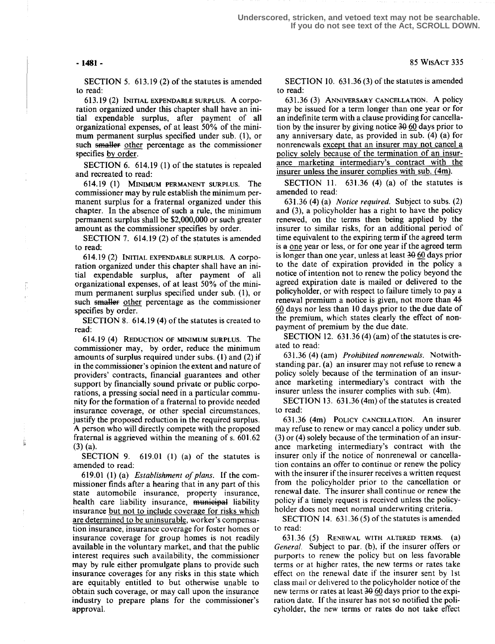T

SECTION 5. 613.19 (2) of the statutes is amended to read:

613 . 19 (2) INITIAL EXPENDABLE SURPLUS. A corporation organized under this chapter shall have an initial expendable surplus, after payment of all organizational expenses, of at least 50% of the minimum permanent surplus specified under sub. (1), or such smaller other percentage as the commissioner specifies by order.

SECTION 6. 614.19 (1) of the statutes is repealed and recreated to read:

614. 19 (1) MINIMUM PERMANENT SURPLUS. The commissioner may by rule establish the minimum permanent surplus for a fraternal organized under this chapter. In the absence of such a rule, the minimum permanent surplus shall be \$2,000,000 or such greater amount as the commissioner specifies by order.

SECTION 7. 614.19 (2) of the statutes is amended to read:

614.19 (2) INITIAL EXPENDABLE SURPLUS. A corporation organized under this chapter shall have an initial expendable surplus, after payment of all organizational expenses, of at least 50% of the minimum permanent surplus specified under sub. (1), or such smaller other percentage as the commissioner specifies by order.

SECTION 8. 614.19 (4) of the statutes is created to read :

614.19 (4) REDUCTION OF MINIMUM SURPLUS. The commissioner may, by order, reduce the minimum amounts of surplus required under subs. (1) and (2) if in the commissioner's opinion the extent and nature of providers' contracts, financial guarantees and other support by financially sound private or public corporations, a pressing social need in a particular community for the formation of a fraternal to provide needed insurance coverage, or other special circumstances, justify the proposed reduction in the required surplus. A person who will directly compete with the proposed fraternal is aggrieved within the meaning of s. 601 .62 (3) (a).

SECTION 9.  $619.01$  (1) (a) of the statutes is amended to read:

619.01 (1) (a) Establishment of plans. If the commissioner finds after a hearing that in any part of this state automobile insurance, property insurance, health care liability insurance, municipal liability insurance but not to include coverage for risks which are determined to be uninsurable, worker's compensation insurance, insurance coverage for foster homes or insurance coverage for group homes is not readily available in the voluntary market, and that the public interest requires such availability, the commissioner may by rule either promulgate plans to provide such insurance coverages for any risks in this state which are equitably entitled to but otherwise unable to obtain such coverage, or may call upon the insurance industry to prepare plans for the commissioner's approval.

SECTION 10. 631 .36 (3) of the statutes is amended to read:

631.36 (3) ANNIVERSARY CANCELLATION. A policy may be issued for a term longer than one year or for an indefinite term with a clause providing for cancellation by the insurer by giving notice 39 60 days prior to any anniversary date, as provided in sub. (4) (a) for nonrenewals except that an insurer may not cancel a policy solely because of the termination of an insurance marketing intermediary's contract with the insurer unless the insurer complies with sub. (4m).

SECTION 11.  $631.36$  (4) (a) of the statutes is amended to read:

631 .36 (4) (a) Notice required. Subject to subs. (2) and (3), a policyholder has a right to have the policy renewed, on the terms then being applied by the insurer to similar risks, for an additional period of time equivalent to the expiring term if the agreed term is a one year or less, or for one year if the agreed term is longer than one year, unless at least 39 60 days prior to the date of expiration provided in the policy a notice of intention not to renew the policy beyond the agreed expiration date is mailed or delivered to the policyholder, or with respect to failure timely to pay a renewal premium a notice is given, not more than 45 60 days nor less than 10 days prior to the due date of the premium, which states clearly the effect of nonpayment of premium by the due date.

SECTION 12.  $631.36(4)(am)$  of the statutes is created to read:

631 .36 (4) (am) Prohibited nonrenewals. Notwithstanding par. (a) an insurer may not refuse to renew a policy solely because of the termination of an insurance marketing intermediary's contract with the insurer unless the insurer complies with sub. (4m).

SECTION 13. 631 .36 (4m) of the statutes is created to read:

<sup>631</sup> .36 (4m) POLICY CANCELLATION . An insurer may refuse to renew or may cancel a policy under sub. (3) or (4) solely because of the termination of an insurance marketing intermediary's contract with the insurer only if the notice of nonrenewal or cancellation contains an offer to continue or renew the policy with the insurer if the insurer receives a written request from the policyholder prior to the cancellation or renewal date. The insurer shall continue or renew the policy if a timely request is received unless the policyholder does not meet normal underwriting criteria.

SECTION 14. 631.36 (5) of the statutes is amended to read:

631.36 (5) RENEWAL WITH ALTERED TERMS. (a) General. Subject to par. (b), if the insurer offers or purports to renew the policy but on less favorable terms or at higher rates, the new terms or rates take effect on the renewal date if the insurer sent by 1st class mail or delivered to the policyholder notice of the new terms or rates at least 39 60 days prior to the expiration date. If the insurer has not so notified the policyholder, the new terms or rates do not take effect

- 1481 - 85 WtsAcT 335